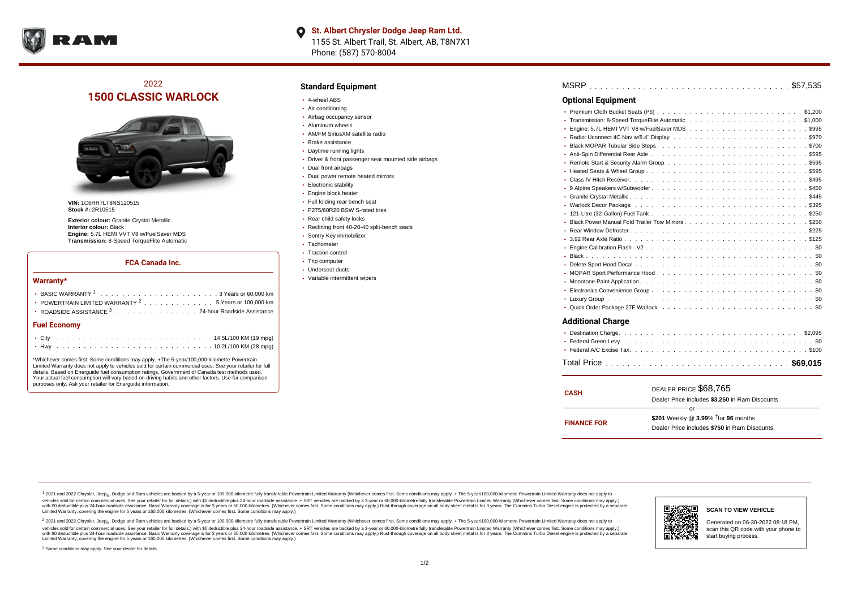

# 2022 **1500 CLASSIC WARLOCK**



**VIN:** 1C6RR7LT8NS120515 **Stock #:** 2R10515

**Exterior colour:** Granite Crystal Metallic **Interior colour:** Black **Engine:** 5.7L HEMI VVT V8 w/FuelSaver MDS **Transmission:** 8-Speed TorqueFlite Automatic

#### **FCA Canada Inc.**

#### **Warranty\***

| POWERTRAIN LIMITED WARRANTY $2, \ldots, \ldots, \ldots, \ldots, 5$ Years or 100,000 km |  |  |  |  |  |
|----------------------------------------------------------------------------------------|--|--|--|--|--|
| • ROADSIDE ASSISTANCE 3 24-hour Roadside Assistance                                    |  |  |  |  |  |
| <b>Fuel Economy</b>                                                                    |  |  |  |  |  |
|                                                                                        |  |  |  |  |  |

. . . . . . . . . . . . . . . . . . . . . . . . . . . . . . . . . . . . . . . . . . . Hwy 10.2L/100 KM (28 mpg)

\*Whichever comes first. Some conditions may apply. +The 5-year/100,000-kilometre Powertrain Limited Warranty does not apply to vehicles sold for certain commercial uses. See your retailer for full details. Based on Energuide fuel consumption ratings. Government of Canada test methods used. Your actual fuel consumption will vary based on driving habits and other factors. Use for comparison

### **Standard Equipment**

- 4-wheel ABS
- Air conditioning
- Airbag occupancy sensor
- Aluminum wheels
- AM/FM SiriusXM satellite radio
- Brake assistance
- Daytime running lights
- Driver & front passenger seat mounted side airbags
- Dual front airbags
- Dual power remote heated mirrors
- **Electronic stability**
- Engine block heater
- Full folding rear bench seat
- P275/60R20 BSW S-rated tires
- Rear child safety locks
- Reclining front 40-20-40 split-bench seats
- Sentry Key immobilizer
- Tachometer
- Traction control
- Trip computer
- Underseat ducts
- Variable intermittent wipers

| <b>Optional Equipment</b> |  |
|---------------------------|--|
|                           |  |
|                           |  |
| ٠                         |  |
| ٠                         |  |
|                           |  |
|                           |  |
|                           |  |
|                           |  |
|                           |  |
|                           |  |
|                           |  |
|                           |  |
|                           |  |
|                           |  |
|                           |  |
|                           |  |
| ٠                         |  |
|                           |  |
|                           |  |
| ٠                         |  |
|                           |  |
| ٠                         |  |
|                           |  |
|                           |  |
| <b>Additional Charge</b>  |  |
|                           |  |
|                           |  |
|                           |  |

| DEALER PRICE \$68.765                              |  |  |  |  |  |  |  |  |  |
|----------------------------------------------------|--|--|--|--|--|--|--|--|--|
| Dealer Price includes \$3.250 in Ram Discounts.    |  |  |  |  |  |  |  |  |  |
| Ωr                                                 |  |  |  |  |  |  |  |  |  |
| \$201 Weekly @ $3.99\%$ <sup>†</sup> for 96 months |  |  |  |  |  |  |  |  |  |
| Dealer Price includes \$750 in Ram Discounts.      |  |  |  |  |  |  |  |  |  |
|                                                    |  |  |  |  |  |  |  |  |  |

1 2021 and 2022 Chrysler, Jeep<sub>en</sub> Dodge and Ram vehicles are backed by a 5-year or 100,000-kilometre fully transferable Powertrain Limited Warranty (Whichever comes first. Some conditions may apply. + The 5-year/100,000-k vehicles sold for certain commercial uses. See your retailer for full details.) with \$0 deductible plus 24-hour roadside assistance. + SRT vehicles are backed by a 3-year or 60,000-kilometre fully transferable Powertrain L versus and contract the mean of the contract of the contract with a contract with a contract the contract of the search of the contract and a control of the contract and contract and control of the search of the search of Limited Warranty, covering the engine for 5 years or 160,000 kilometres. (Whichever comes first. Some conditions may apply.)

<sup>2</sup> 2021 and 2022 Chrysler, Jeep<sub>®</sub>, Dodge and Ram vehicles are backed by a 5-year or 100,000-kilometre fully transferable Powertrain Limited Warranty (Whichever comes first. Some conditions may apply. + The 5-year/100,000 vehicles sold for certain commercial uses. See your retailer for full details.) with SO deductible plus 24-hour roadside assistance. + SRT vehicles are backed by a 3-year or 60.000-kilometre fully transferable Powertrain L with S0 deductible plus 24-hour roadside assistance. Basic Warranty coverage is for 3 years or 60,000 kilometres. (Whichever comes first. Some conditions may apply.) Rust-through coverage on all body sheet metal is for 3 y

<sup>3</sup> Some conditions may apply. See your dealer for details.

purposes only. Ask your retailer for Energuide information.



Generated on 06-30-2022 08:18 PM, scan this QR code with your phone to start buying process.